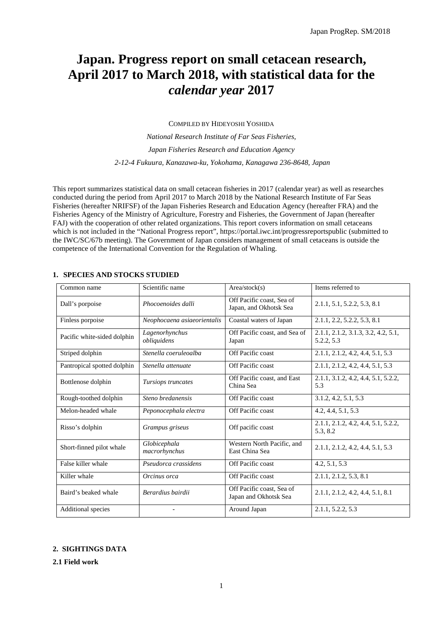# **Japan. Progress report on small cetacean research, April 2017 to March 2018, with statistical data for the**  *calendar year* **2017**

COMPILED BY HIDEYOSHI YOSHIDA

*National Research Institute of Far Seas Fisheries, Japan Fisheries Research and Education Agency 2-12-4 Fukuura, Kanazawa-ku, Yokohama, Kanagawa 236-8648, Japan*

This report summarizes statistical data on small cetacean fisheries in 2017 (calendar year) as well as researches conducted during the period from April 2017 to March 2018 by the National Research Institute of Far Seas Fisheries (hereafter NRIFSF) of the Japan Fisheries Research and Education Agency (hereafter FRA) and the Fisheries Agency of the Ministry of Agriculture, Forestry and Fisheries, the Government of Japan (hereafter FAJ) with the cooperation of other related organizations. This report covers information on small cetaceans which is not included in the "National Progress report", https://portal.iwc.int/progressreportspublic (submitted to the IWC/SC/67b meeting). The Government of Japan considers management of small cetaceans is outside the competence of the International Convention for the Regulation of Whaling.

| Common name                 | Scientific name               | Area/stock(s)                                       | Items referred to                                 |
|-----------------------------|-------------------------------|-----------------------------------------------------|---------------------------------------------------|
| Dall's porpoise             | Phocoenoides dalli            | Off Pacific coast, Sea of<br>Japan, and Okhotsk Sea | 2.1.1, 5.1, 5.2.2, 5.3, 8.1                       |
| Finless porpoise            | Neophocaena asiaeorientalis   | Coastal waters of Japan                             | 2.1.1, 2.2, 5.2.2, 5.3, 8.1                       |
| Pacific white-sided dolphin | Lagenorhynchus<br>obliquidens | Off Pacific coast, and Sea of<br>Japan              | 2.1.1, 2.1.2, 3.1.3, 3.2, 4.2, 5.1,<br>5.2.2, 5.3 |
| Striped dolphin             | Stenella coeruleoalba         | Off Pacific coast                                   | 2.1.1, 2.1.2, 4.2, 4.4, 5.1, 5.3                  |
| Pantropical spotted dolphin | Stenella attenuate            | Off Pacific coast                                   | 2.1.1, 2.1.2, 4.2, 4.4, 5.1, 5.3                  |
| Bottlenose dolphin          | Tursiops truncates            | Off Pacific coast, and East<br>China Sea            | 2.1.1, 3.1.2, 4.2, 4.4, 5.1, 5.2.2,<br>5.3        |
| Rough-toothed dolphin       | Steno bredanensis             | Off Pacific coast                                   | 3.1.2, 4.2, 5.1, 5.3                              |
| Melon-headed whale          | Peponocephala electra         | Off Pacific coast                                   | 4.2, 4.4, 5.1, 5.3                                |
| Risso's dolphin             | Grampus griseus               | Off pacific coast                                   | 2.1.1, 2.1.2, 4.2, 4.4, 5.1, 5.2.2,<br>5.3, 8.2   |
| Short-finned pilot whale    | Globicephala<br>macrorhynchus | Western North Pacific, and<br>East China Sea        | 2.1.1, 2.1.2, 4.2, 4.4, 5.1, 5.3                  |
| False killer whale          | Pseudorca crassidens          | Off Pacific coast                                   | 4.2, 5.1, 5.3                                     |
| Killer whale                | Orcinus orca                  | Off Pacific coast                                   | 2.1.1, 2.1.2, 5.3, 8.1                            |
| Baird's beaked whale        | Berardius bairdii             | Off Pacific coast, Sea of<br>Japan and Okhotsk Sea  | 2.1.1, 2.1.2, 4.2, 4.4, 5.1, 8.1                  |
| Additional species          | $\overline{a}$                | Around Japan                                        | 2.1.1, 5.2.2, 5.3                                 |

## **1. SPECIES AND STOCKS STUDIED**

## **2. SIGHTINGS DATA**

**2.1 Field work**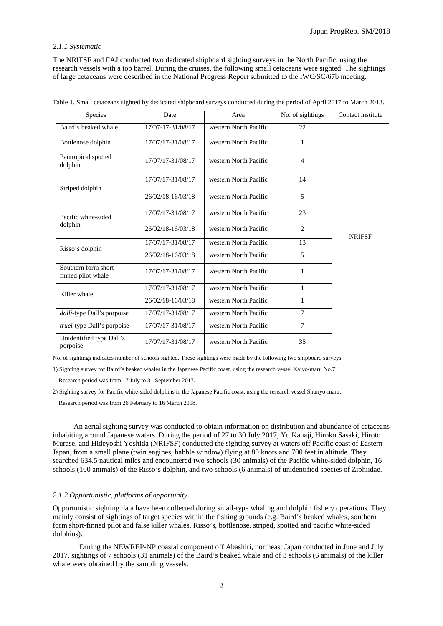## *2.1.1 Systematic*

The NRIFSF and FAJ conducted two dedicated shipboard sighting surveys in the North Pacific, using the research vessels with a top barrel. During the cruises, the following small cetaceans were sighted. The sightings of large cetaceans were described in the National Progress Report submitted to the IWC/SC/67b meeting.

| Species                                    | Date              | Area                  | No. of sightings | Contact institute |
|--------------------------------------------|-------------------|-----------------------|------------------|-------------------|
| Baird's beaked whale                       | 17/07-17-31/08/17 | western North Pacific | 22               |                   |
| Bottlenose dolphin                         | 17/07/17-31/08/17 | western North Pacific | 1                |                   |
| Pantropical spotted<br>dolphin             | 17/07/17-31/08/17 | western North Pacific | 4                |                   |
| Striped dolphin                            | 17/07/17-31/08/17 | western North Pacific | 14               |                   |
|                                            | 26/02/18-16/03/18 | western North Pacific | 5                |                   |
| Pacific white-sided                        | 17/07/17-31/08/17 | western North Pacific | 23               |                   |
| dolphin                                    | 26/02/18-16/03/18 | western North Pacific | $\overline{2}$   | <b>NRIFSF</b>     |
| Risso's dolphin                            | 17/07/17-31/08/17 | western North Pacific | 13               |                   |
|                                            | 26/02/18-16/03/18 | western North Pacific | 5                |                   |
| Southern form short-<br>finned pilot whale | 17/07/17-31/08/17 | western North Pacific | 1                |                   |
| Killer whale                               | 17/07/17-31/08/17 | western North Pacific | 1                |                   |
|                                            | 26/02/18-16/03/18 | western North Pacific | 1                |                   |
| dalli-type Dall's porpoise                 | 17/07/17-31/08/17 | western North Pacific | $\overline{7}$   |                   |
| truei-type Dall's porpoise                 | 17/07/17-31/08/17 | western North Pacific | 7                |                   |
| Unidentified type Dall's<br>porpoise       | 17/07/17-31/08/17 | western North Pacific | 35               |                   |

| Table 1. Small cetaceans sighted by dedicated shipboard surveys conducted during the period of April 2017 to March 2018. |  |  |
|--------------------------------------------------------------------------------------------------------------------------|--|--|
|                                                                                                                          |  |  |

No. of sightings indicates number of schools sighted. These sightings were made by the following two shipboard surveys.

1) Sighting survey for Baird's beaked whales in the Japanese Pacific coast, using the research vessel Kaiyo-maru No.7.

Research period was from 17 July to 31 September 2017.

2) Sighting survey for Pacific white-sided dolphins in the Japanese Pacific coast, using the research vessel Shunyo-maru.

Research period was from 26 February to 16 March 2018.

An aerial sighting survey was conducted to obtain information on distribution and abundance of cetaceans inhabiting around Japanese waters. During the period of 27 to 30 July 2017, Yu Kanaji, Hiroko Sasaki, Hiroto Murase, and Hideyoshi Yoshida (NRIFSF) conducted the sighting survey at waters off Pacific coast of Eastern Japan, from a small plane (twin engines, babble window) flying at 80 knots and 700 feet in altitude. They searched 634.5 nautical miles and encountered two schools (30 animals) of the Pacific white-sided dolphin, 16 schools (100 animals) of the Risso's dolphin, and two schools (6 animals) of unidentified species of Ziphiidae.

## *2.1.2 Opportunistic, platforms of opportunity*

Opportunistic sighting data have been collected during small-type whaling and dolphin fishery operations. They mainly consist of sightings of target species within the fishing grounds (e.g. Baird's beaked whales, southern form short-finned pilot and false killer whales, Risso's, bottlenose, striped, spotted and pacific white-sided dolphins).

During the NEWREP-NP coastal component off Abashiri, northeast Japan conducted in June and July 2017, sightings of 7 schools (31 animals) of the Baird's beaked whale and of 3 schools (6 animals) of the killer whale were obtained by the sampling vessels.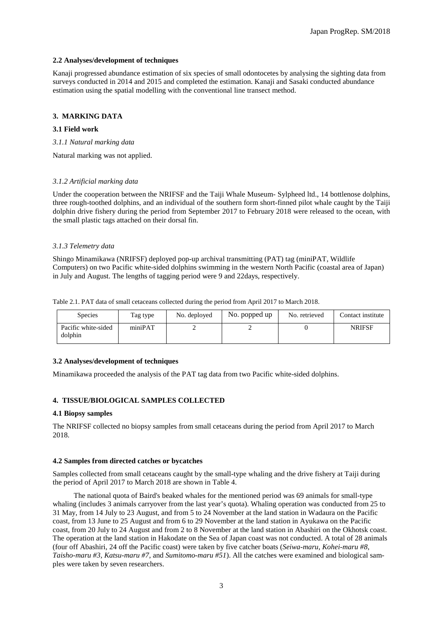## **2.2 Analyses/development of techniques**

Kanaji progressed abundance estimation of six species of small odontocetes by analysing the sighting data from surveys conducted in 2014 and 2015 and completed the estimation. Kanaji and Sasaki conducted abundance estimation using the spatial modelling with the conventional line transect method.

## **3. MARKING DATA**

#### **3.1 Field work**

*3.1.1 Natural marking data*

Natural marking was not applied.

#### *3.1.2 Artificial marking data*

Under the cooperation between the NRIFSF and the Taiji Whale Museum- Sylpheed ltd., 14 bottlenose dolphins, three rough-toothed dolphins, and an individual of the southern form short-finned pilot whale caught by the Taiji dolphin drive fishery during the period from September 2017 to February 2018 were released to the ocean, with the small plastic tags attached on their dorsal fin.

#### *3.1.3 Telemetry data*

Shingo Minamikawa (NRIFSF) deployed pop-up archival transmitting (PAT) tag (miniPAT, Wildlife Computers) on two Pacific white-sided dolphins swimming in the western North Pacific (coastal area of Japan) in July and August. The lengths of tagging period were 9 and 22days, respectively.

Table 2.1. PAT data of small cetaceans collected during the period from April 2017 to March 2018.

| <b>Species</b>                 | Tag type | No. deployed | No. popped up | No. retrieved | Contact institute |
|--------------------------------|----------|--------------|---------------|---------------|-------------------|
| Pacific white-sided<br>dolphin | miniPAT  |              |               |               | <b>NRIFSF</b>     |

#### **3.2 Analyses/development of techniques**

Minamikawa proceeded the analysis of the PAT tag data from two Pacific white-sided dolphins.

## **4. TISSUE/BIOLOGICAL SAMPLES COLLECTED**

#### **4.1 Biopsy samples**

The NRIFSF collected no biopsy samples from small cetaceans during the period from April 2017 to March 2018.

#### **4.2 Samples from directed catches or bycatches**

Samples collected from small cetaceans caught by the small-type whaling and the drive fishery at Taiji during the period of April 2017 to March 2018 are shown in Table 4.

The national quota of Baird's beaked whales for the mentioned period was 69 animals for small-type whaling (includes 3 animals carryover from the last year's quota). Whaling operation was conducted from 25 to 31 May, from 14 July to 23 August, and from 5 to 24 November at the land station in Wadaura on the Pacific coast, from 13 June to 25 August and from 6 to 29 November at the land station in Ayukawa on the Pacific coast, from 20 July to 24 August and from 2 to 8 November at the land station in Abashiri on the Okhotsk coast. The operation at the land station in Hakodate on the Sea of Japan coast was not conducted. A total of 28 animals (four off Abashiri, 24 off the Pacific coast) were taken by five catcher boats (*Seiwa-maru*, *Kohei-maru #8*, *Taisho-maru #3, Katsu-maru #7,* and *Sumitomo-maru #51*). All the catches were examined and biological samples were taken by seven researchers.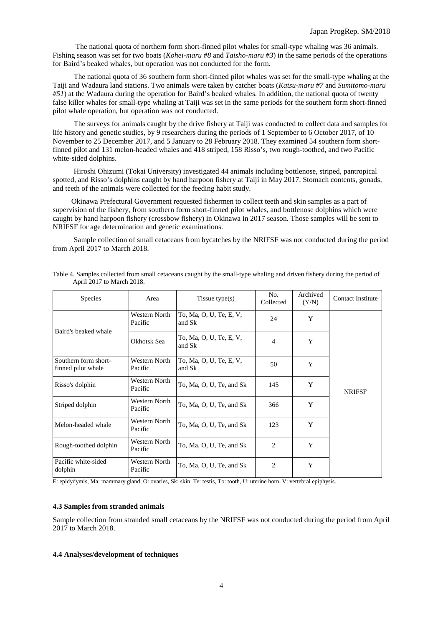The national quota of northern form short-finned pilot whales for small-type whaling was 36 animals. Fishing season was set for two boats (*Kohei-maru* #*8* and *Taisho-maru #3*) in the same periods of the operations for Baird's beaked whales, but operation was not conducted for the form.

The national quota of 36 southern form short-finned pilot whales was set for the small-type whaling at the Taiji and Wadaura land stations. Two animals were taken by catcher boats (*Katsu-maru #7* and *Sumitomo-maru #51*) at the Wadaura during the operation for Baird's beaked whales. In addition, the national quota of twenty false killer whales for small-type whaling at Taiji was set in the same periods for the southern form short-finned pilot whale operation, but operation was not conducted.

The surveys for animals caught by the drive fishery at Taiji was conducted to collect data and samples for life history and genetic studies, by 9 researchers during the periods of 1 September to 6 October 2017, of 10 November to 25 December 2017, and 5 January to 28 February 2018. They examined 54 southern form shortfinned pilot and 131 melon-headed whales and 418 striped, 158 Risso's, two rough-toothed, and two Pacific white-sided dolphins.

Hiroshi Ohizumi (Tokai University) investigated 44 animals including bottlenose, striped, pantropical spotted, and Risso's dolphins caught by hand harpoon fishery at Taiji in May 2017. Stomach contents, gonads, and teeth of the animals were collected for the feeding habit study.

Okinawa Prefectural Government requested fishermen to collect teeth and skin samples as a part of supervision of the fishery, from southern form short-finned pilot whales, and bottlenose dolphins which were caught by hand harpoon fishery (crossbow fishery) in Okinawa in 2017 season. Those samples will be sent to NRIFSF for age determination and genetic examinations.

Sample collection of small cetaceans from bycatches by the NRIFSF was not conducted during the period from April 2017 to March 2018.

| Species                                    | Area                     | Tissue type(s)                    | No.<br>Collected | Archived<br>(Y/N) | <b>Contact Institute</b> |
|--------------------------------------------|--------------------------|-----------------------------------|------------------|-------------------|--------------------------|
| Baird's beaked whale                       | Western North<br>Pacific | To, Ma, O, U, Te, E, V,<br>and Sk | 24               | Y                 |                          |
|                                            | Okhotsk Sea              | To, Ma, O, U, Te, E, V,<br>and Sk | $\overline{4}$   | Y                 |                          |
| Southern form short-<br>finned pilot whale | Western North<br>Pacific | To, Ma, O, U, Te, E, V,<br>and Sk | 50               | Y                 |                          |
| Risso's dolphin                            | Western North<br>Pacific | To, Ma, O, U, Te, and Sk          | 145              | Y                 | <b>NRIFSF</b>            |
| Striped dolphin                            | Western North<br>Pacific | To, Ma, O, U, Te, and Sk          | 366              | Y                 |                          |
| Melon-headed whale                         | Western North<br>Pacific | To, Ma, O, U, Te, and Sk          | 123              | Y                 |                          |
| Rough-toothed dolphin                      | Western North<br>Pacific | To, Ma, O, U, Te, and Sk          | $\overline{2}$   | Y                 |                          |
| Pacific white-sided<br>dolphin             | Western North<br>Pacific | To, Ma, O, U, Te, and Sk          | 2                | Y                 |                          |

Table 4. Samples collected from small cetaceans caught by the small-type whaling and driven fishery during the period of April 2017 to March 2018.

E: epidydymis, Ma: mammary gland, O: ovaries, Sk: skin, Te: testis, To: tooth, U: uterine horn, V: vertebral epiphysis.

#### **4.3 Samples from stranded animals**

Sample collection from stranded small cetaceans by the NRIFSF was not conducted during the period from April 2017 to March 2018.

#### **4.4 Analyses/development of techniques**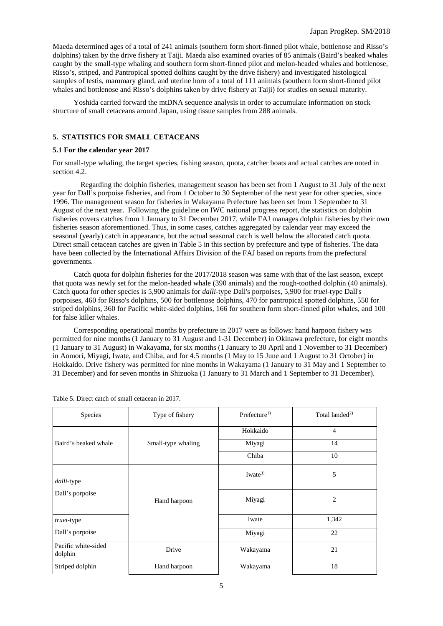Maeda determined ages of a total of 241 animals (southern form short-finned pilot whale, bottlenose and Risso's dolphins) taken by the drive fishery at Taiji. Maeda also examined ovaries of 85 animals (Baird's beaked whales caught by the small-type whaling and southern form short-finned pilot and melon-headed whales and bottlenose, Risso's, striped, and Pantropical spotted dolhins caught by the drive fishery) and investigated histological samples of testis, mammary gland, and uterine horn of a total of 111 animals (southern form short-finned pilot whales and bottlenose and Risso's dolphins taken by drive fishery at Taiji) for studies on sexual maturity.

Yoshida carried forward the mtDNA sequence analysis in order to accumulate information on stock structure of small cetaceans around Japan, using tissue samples from 288 animals.

## **5. STATISTICS FOR SMALL CETACEANS**

#### **5.1 For the calendar year 2017**

For small-type whaling, the target species, fishing season, quota, catcher boats and actual catches are noted in section 4.2.

Regarding the dolphin fisheries, management season has been set from 1 August to 31 July of the next year for Dall's porpoise fisheries, and from 1 October to 30 September of the next year for other species, since 1996. The management season for fisheries in Wakayama Prefecture has been set from 1 September to 31 August of the next year. Following the guideline on IWC national progress report, the statistics on dolphin fisheries covers catches from 1 January to 31 December 2017, while FAJ manages dolphin fisheries by their own fisheries season aforementioned. Thus, in some cases, catches aggregated by calendar year may exceed the seasonal (yearly) catch in appearance, but the actual seasonal catch is well below the allocated catch quota. Direct small cetacean catches are given in Table 5 in this section by prefecture and type of fisheries. The data have been collected by the International Affairs Division of the FAJ based on reports from the prefectural governments.

Catch quota for dolphin fisheries for the 2017/2018 season was same with that of the last season, except that quota was newly set for the melon-headed whale (390 animals) and the rough-toothed dolphin (40 animals). Catch quota for other species is 5,900 animals for *dalli*-type Dall's porpoises, 5,900 for *truei*-type Dall's porpoises, 460 for Risso's dolphins, 500 for bottlenose dolphins, 470 for pantropical spotted dolphins, 550 for striped dolphins, 360 for Pacific white-sided dolphins, 166 for southern form short-finned pilot whales, and 100 for false killer whales.

Corresponding operational months by prefecture in 2017 were as follows: hand harpoon fishery was permitted for nine months (1 January to 31 August and 1-31 December) in Okinawa prefecture, for eight months (1 January to 31 August) in Wakayama, for six months (1 January to 30 April and 1 November to 31 December) in Aomori, Miyagi, Iwate, and Chiba, and for 4.5 months (1 May to 15 June and 1 August to 31 October) in Hokkaido. Drive fishery was permitted for nine months in Wakayama (1 January to 31 May and 1 September to 31 December) and for seven months in Shizuoka (1 January to 31 March and 1 September to 31 December).

| Species                        | Type of fishery    | Prefecture <sup>1</sup> | Total landed <sup>2)</sup> |
|--------------------------------|--------------------|-------------------------|----------------------------|
|                                |                    | Hokkaido                | $\overline{4}$             |
| Baird's beaked whale           | Small-type whaling | Miyagi                  | 14                         |
|                                |                    | Chiba                   | 10                         |
| <i>dalli-type</i>              |                    | Iwate <sup>3)</sup>     | 5                          |
| Dall's porpoise                | Hand harpoon       | Miyagi                  | 2                          |
| <i>truei-type</i>              |                    | Iwate                   | 1,342                      |
| Dall's porpoise                |                    | Miyagi                  | 22                         |
| Pacific white-sided<br>dolphin | Drive              | Wakayama                | 21                         |
| Striped dolphin                | Hand harpoon       | Wakayama                | 18                         |

Table 5. Direct catch of small cetacean in 2017.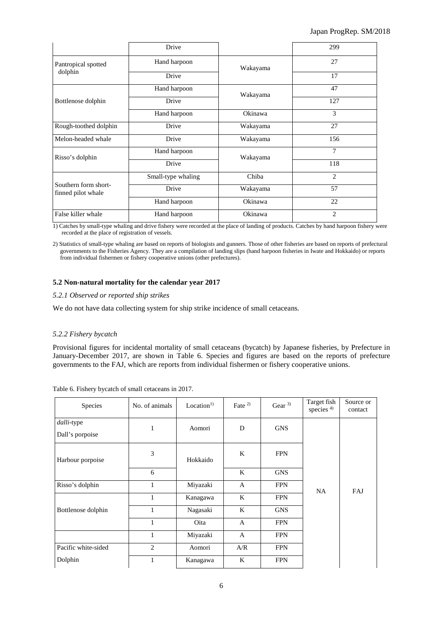|                                            | Drive              |          | 299            |
|--------------------------------------------|--------------------|----------|----------------|
| Pantropical spotted                        | Hand harpoon       | Wakayama | 27             |
| dolphin                                    | Drive              |          | 17             |
|                                            | Hand harpoon       | Wakayama | 47             |
| Bottlenose dolphin                         | Drive              |          | 127            |
|                                            | Hand harpoon       | Okinawa  | 3              |
| Rough-toothed dolphin                      | Drive              | Wakayama | 27             |
| Melon-headed whale                         | Drive              | Wakayama | 156            |
| Risso's dolphin                            | Hand harpoon       | Wakayama | 7              |
|                                            | Drive              |          | 118            |
|                                            | Small-type whaling | Chiba    | $\mathfrak{D}$ |
| Southern form short-<br>finned pilot whale | Drive              | Wakayama | 57             |
|                                            | Hand harpoon       | Okinawa  | 22             |
| False killer whale                         | Hand harpoon       | Okinawa  | $\overline{2}$ |

1) Catches by small-type whaling and drive fishery were recorded at the place of landing of products. Catches by hand harpoon fishery were recorded at the place of registration of vessels.

2) Statistics of small-type whaling are based on reports of biologists and gunners. Those of other fisheries are based on reports of prefectural governments to the Fisheries Agency. They are a compilation of landing slips (hand harpoon fisheries in Iwate and Hokkaido) or reports from individual fishermen or fishery cooperative unions (other prefectures).

## **5.2 Non-natural mortality for the calendar year 2017**

## *5.2.1 Observed or reported ship strikes*

We do not have data collecting system for ship strike incidence of small cetaceans.

## *5.2.2 Fishery bycatch*

Provisional figures for incidental mortality of small cetaceans (bycatch) by Japanese fisheries, by Prefecture in January-December 2017, are shown in Table 6. Species and figures are based on the reports of prefecture governments to the FAJ, which are reports from individual fishermen or fishery cooperative unions.

| Species                              | No. of animals | Location <sup>1</sup> | Fate $2$     | Gear $3$   | Target fish<br>species <sup>4)</sup> | Source or<br>contact |
|--------------------------------------|----------------|-----------------------|--------------|------------|--------------------------------------|----------------------|
| <i>dalli-type</i><br>Dall's porpoise | 1              | Aomori                | D            | <b>GNS</b> |                                      |                      |
| Harbour porpoise                     | 3              | Hokkaido              | K            | <b>FPN</b> |                                      |                      |
|                                      | 6              |                       | K            | <b>GNS</b> |                                      |                      |
| Risso's dolphin                      | 1              | Miyazaki              | $\mathsf{A}$ | <b>FPN</b> | <b>NA</b>                            | FAJ                  |
|                                      | $\mathbf{1}$   | Kanagawa              | K            | <b>FPN</b> |                                      |                      |
| Bottlenose dolphin                   | 1              | Nagasaki              | K            | <b>GNS</b> |                                      |                      |
|                                      | $\mathbf{1}$   | Oita                  | $\mathbf{A}$ | <b>FPN</b> |                                      |                      |
|                                      | 1              | Miyazaki              | A            | <b>FPN</b> |                                      |                      |
| Pacific white-sided                  | $\overline{2}$ | Aomori                | A/R          | <b>FPN</b> |                                      |                      |
| Dolphin                              | 1              | Kanagawa              | K            | <b>FPN</b> |                                      |                      |

Table 6. Fishery bycatch of small cetaceans in 2017.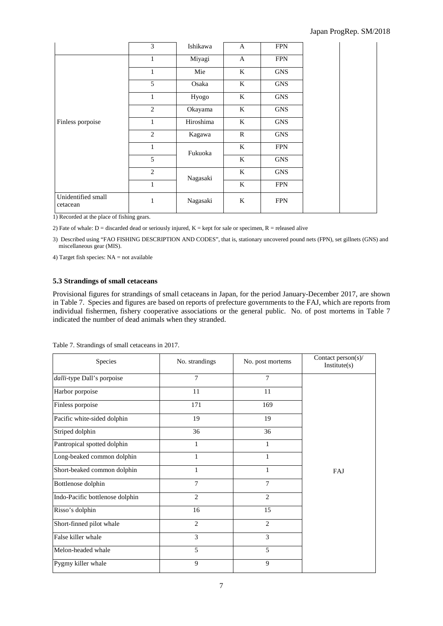|                                | 3              | Ishikawa  | $\mathbf{A}$ | <b>FPN</b> |  |
|--------------------------------|----------------|-----------|--------------|------------|--|
|                                | $\mathbf{1}$   | Miyagi    | $\mathbf{A}$ | <b>FPN</b> |  |
|                                | $\mathbf{1}$   | Mie       | K            | <b>GNS</b> |  |
|                                | 5              | Osaka     | K            | <b>GNS</b> |  |
|                                | $\mathbf{1}$   | Hyogo     | $\bf K$      | <b>GNS</b> |  |
|                                | 2              | Okayama   | $\bf K$      | <b>GNS</b> |  |
| Finless porpoise               | 1              | Hiroshima | $\bf K$      | <b>GNS</b> |  |
|                                | 2              | Kagawa    | $\mathbb{R}$ | <b>GNS</b> |  |
|                                | $\mathbf{1}$   | Fukuoka   | $\mathbf{K}$ | <b>FPN</b> |  |
|                                | 5              |           | K            | <b>GNS</b> |  |
|                                | $\overline{2}$ | Nagasaki  | $\bf K$      | <b>GNS</b> |  |
|                                | $\mathbf{1}$   |           | K            | <b>FPN</b> |  |
| Unidentified small<br>cetacean | 1              | Nagasaki  | K            | <b>FPN</b> |  |

1) Recorded at the place of fishing gears.

2) Fate of whale:  $D =$  discarded dead or seriously injured,  $K =$  kept for sale or specimen,  $R =$  released alive

3) Described using "FAO FISHING DESCRIPTION AND CODES", that is, stationary uncovered pound nets (FPN), set gillnets (GNS) and miscellaneous gear (MIS).

4) Target fish species:  $NA = not available$ 

## **5.3 Strandings of small cetaceans**

Provisional figures for strandings of small cetaceans in Japan, for the period January-December 2017, are shown in Table 7. Species and figures are based on reports of prefecture governments to the FAJ, which are reports from individual fishermen, fishery cooperative associations or the general public. No. of post mortems in Table 7 indicated the number of dead animals when they stranded.

| Species                         | No. strandings | No. post mortems | Contact person(s)/<br>Institute(s) |
|---------------------------------|----------------|------------------|------------------------------------|
| dalli-type Dall's porpoise      | $\overline{7}$ | $\tau$           |                                    |
| Harbor porpoise                 | 11             | 11               |                                    |
| Finless porpoise                | 171            | 169              |                                    |
| Pacific white-sided dolphin     | 19             | 19               |                                    |
| Striped dolphin                 | 36             | 36               |                                    |
| Pantropical spotted dolphin     | 1              | 1                |                                    |
| Long-beaked common dolphin      | 1              | 1                |                                    |
| Short-beaked common dolphin     | $\mathbf{1}$   | $\mathbf{1}$     | FAJ                                |
| Bottlenose dolphin              | 7              | $\overline{7}$   |                                    |
| Indo-Pacific bottlenose dolphin | $\overline{2}$ | $\overline{2}$   |                                    |
| Risso's dolphin                 | 16             | 15               |                                    |
| Short-finned pilot whale        | $\overline{2}$ | 2                |                                    |
| False killer whale              | 3              | 3                |                                    |
| Melon-headed whale              | 5              | 5                |                                    |
| Pygmy killer whale              | 9              | 9                |                                    |

Table 7. Strandings of small cetaceans in 2017.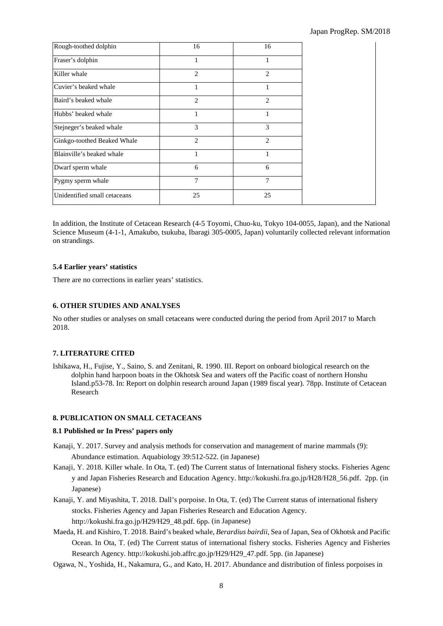| Rough-toothed dolphin        | 16             | 16 |
|------------------------------|----------------|----|
| Fraser's dolphin             | 1              |    |
| Killer whale                 | $\overline{c}$ | 2  |
| Cuvier's beaked whale        |                |    |
| Baird's beaked whale         | $\overline{c}$ | 2  |
| Hubbs' beaked whale          |                |    |
| Stejneger's beaked whale     | 3              | 3  |
| Ginkgo-toothed Beaked Whale  | 2              | 2  |
| Blainville's beaked whale    |                |    |
| Dwarf sperm whale            | 6              | 6  |
| Pygmy sperm whale            | 7              | 7  |
| Unidentified small cetaceans | 25             | 25 |

In addition, the Institute of Cetacean Research (4-5 Toyomi, Chuo-ku, Tokyo 104-0055, Japan), and the National Science Museum (4-1-1, Amakubo, tsukuba, Ibaragi 305-0005, Japan) voluntarily collected relevant information on strandings.

## **5.4 Earlier years' statistics**

There are no corrections in earlier years' statistics.

## **6. OTHER STUDIES AND ANALYSES**

No other studies or analyses on small cetaceans were conducted during the period from April 2017 to March 2018.

## **7. LITERATURE CITED**

Ishikawa, H., Fujise, Y., Saino, S. and Zenitani, R. 1990. III. Report on onboard biological research on the dolphin hand harpoon boats in the Okhotsk Sea and waters off the Pacific coast of northern Honshu Island.p53-78. In: Report on dolphin research around Japan (1989 fiscal year). 78pp. Institute of Cetacean Research

## **8. PUBLICATION ON SMALL CETACEANS**

## **8.1 Published or In Press' papers only**

- Kanaji, Y. 2017. Survey and analysis methods for conservation and management of marine mammals (9): Abundance estimation. Aquabiology 39:512-522. (in Japanese)
- Kanaji, Y. 2018. Killer whale. In Ota, T. (ed) The Current status of International fishery stocks. Fisheries Agenc y and Japan Fisheries Research and Education Agency. http://kokushi.fra.go.jp/H28/H28\_56.pdf. 2pp. (in Japanese)
- Kanaji, Y. and Miyashita, T. 2018. Dall's porpoise. In Ota, T. (ed) The Current status of international fishery stocks. Fisheries Agency and Japan Fisheries Research and Education Agency. http://kokushi.fra.go.jp/H29/H29\_48.pdf. 6pp. (in Japanese)
- Maeda, H. and Kishiro, T. 2018. Baird's beaked whale, *Berardius bairdii,* Sea of Japan, Sea of Okhotsk and Pacific Ocean. In Ota, T. (ed) The Current status of international fishery stocks. Fisheries Agency and Fisheries Research Agency. http://kokushi.job.affrc.go.jp/H29/H29\_47.pdf. 5pp. (in Japanese)
- Ogawa, N., Yoshida, H., Nakamura, G., and Kato, H. 2017. Abundance and distribution of finless porpoises in